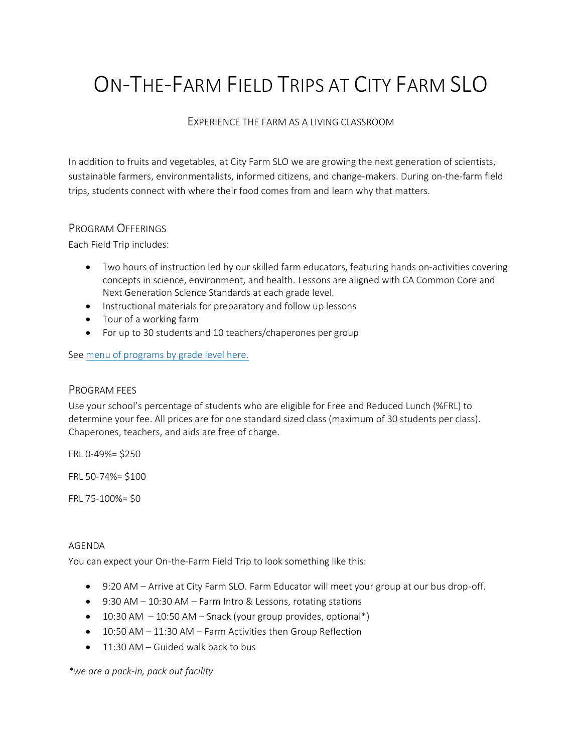# ON-THE-FARM FIELD TRIPS AT CITY FARM SLO

## EXPERIENCE THE FARM AS A LIVING CLASSROOM

In addition to fruits and vegetables, at City Farm SLO we are growing the next generation of scientists, sustainable farmers, environmentalists, informed citizens, and change-makers. During on-the-farm field trips, students connect with where their food comes from and learn why that matters.

### PROGRAM OFFERINGS

Each Field Trip includes:

- Two hours of instruction led by our skilled farm educators, featuring hands on-activities covering concepts in science, environment, and health. Lessons are aligned with CA Common Core and Next Generation Science Standards at each grade level.
- Instructional materials for preparatory and follow up lessons
- Tour of a working farm
- For up to 30 students and 10 teachers/chaperones per group

See [menu of programs by grade level here.](https://4a7c5395-d9f2-48b2-889e-60307fea510c.filesusr.com/ugd/57be73_6d03df351b084f5bacd7feb15e0ea883.pdf)

#### PROGRAM FEES

Use your school's percentage of students who are eligible for Free and Reduced Lunch (%FRL) to determine your fee. All prices are for one standard sized class (maximum of 30 students per class). Chaperones, teachers, and aids are free of charge.

FRL 0-49%= \$250

FRL 50-74%= \$100

FRL 75-100%= \$0

#### AGENDA

You can expect your On-the-Farm Field Trip to look something like this:

- 9:20 AM Arrive at City Farm SLO. Farm Educator will meet your group at our bus drop-off.
- 9:30 AM 10:30 AM Farm Intro & Lessons, rotating stations
- $\bullet$  10:30 AM  $-$  10:50 AM  $-$  Snack (your group provides, optional\*)
- 10:50 AM 11:30 AM Farm Activities then Group Reflection
- $\bullet$  11:30 AM Guided walk back to bus

*\*we are a pack-in, pack out facility*